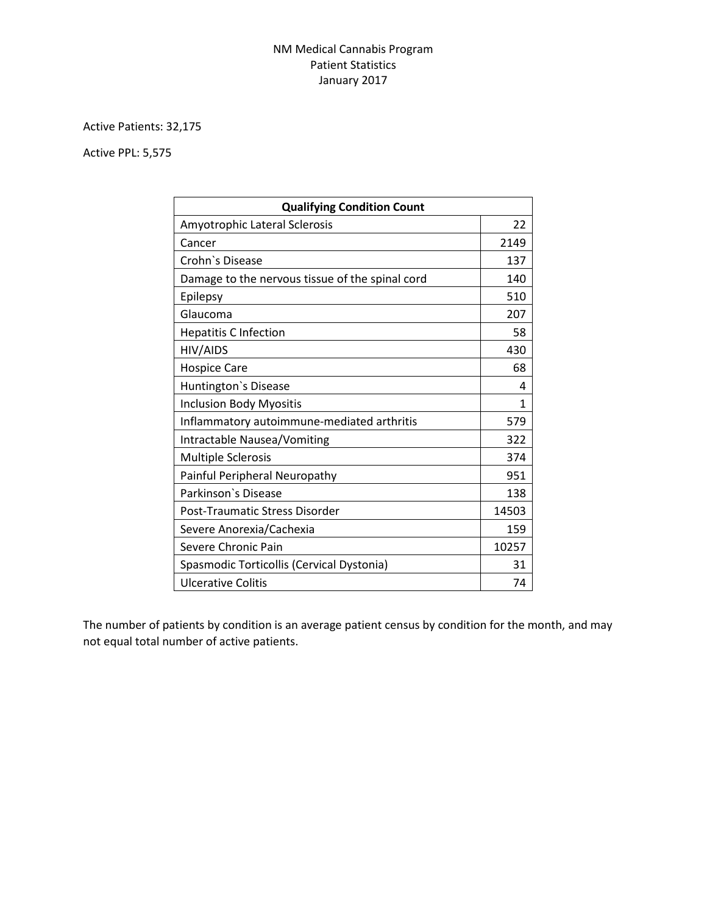## NM Medical Cannabis Program Patient Statistics January 2017

Active Patients: 32,175

Active PPL: 5,575

| <b>Qualifying Condition Count</b>               |       |
|-------------------------------------------------|-------|
| Amyotrophic Lateral Sclerosis                   | 22    |
| Cancer                                          | 2149  |
| Crohn's Disease                                 | 137   |
| Damage to the nervous tissue of the spinal cord | 140   |
| Epilepsy                                        | 510   |
| Glaucoma                                        | 207   |
| <b>Hepatitis C Infection</b>                    | 58    |
| HIV/AIDS                                        | 430   |
| <b>Hospice Care</b>                             | 68    |
| Huntington's Disease                            | 4     |
| <b>Inclusion Body Myositis</b>                  | 1     |
| Inflammatory autoimmune-mediated arthritis      | 579   |
| <b>Intractable Nausea/Vomiting</b>              | 322   |
| <b>Multiple Sclerosis</b>                       | 374   |
| Painful Peripheral Neuropathy                   | 951   |
| Parkinson's Disease                             | 138   |
| Post-Traumatic Stress Disorder                  | 14503 |
| Severe Anorexia/Cachexia                        | 159   |
| Severe Chronic Pain                             | 10257 |
| Spasmodic Torticollis (Cervical Dystonia)       | 31    |
| Ulcerative Colitis                              | 74    |

The number of patients by condition is an average patient census by condition for the month, and may not equal total number of active patients.